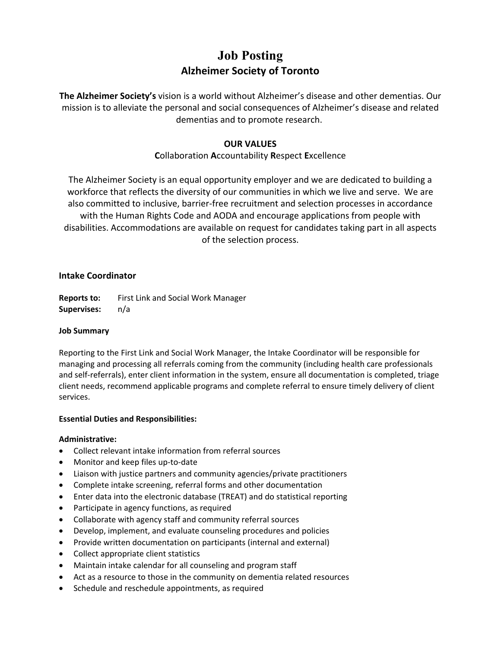# **Job Posting Alzheimer Society of Toronto**

**The Alzheimer Society's** vision is a world without Alzheimer's disease and other dementias. Our mission is to alleviate the personal and social consequences of Alzheimer's disease and related dementias and to promote research.

# **OUR VALUES**

# **C**ollaboration **A**ccountability **R**espect **E**xcellence

The Alzheimer Society is an equal opportunity employer and we are dedicated to building a workforce that reflects the diversity of our communities in which we live and serve. We are also committed to inclusive, barrier-free recruitment and selection processes in accordance with the Human Rights Code and AODA and encourage applications from people with disabilities. Accommodations are available on request for candidates taking part in all aspects of the selection process.

## **Intake Coordinator**

**Reports to:** First Link and Social Work Manager **Supervises:** n/a

## **Job Summary**

Reporting to the First Link and Social Work Manager, the Intake Coordinator will be responsible for managing and processing all referrals coming from the community (including health care professionals and self-referrals), enter client information in the system, ensure all documentation is completed, triage client needs, recommend applicable programs and complete referral to ensure timely delivery of client services.

## **Essential Duties and Responsibilities:**

## **Administrative:**

- Collect relevant intake information from referral sources
- Monitor and keep files up-to-date
- Liaison with justice partners and community agencies/private practitioners
- Complete intake screening, referral forms and other documentation
- Enter data into the electronic database (TREAT) and do statistical reporting
- Participate in agency functions, as required
- Collaborate with agency staff and community referral sources
- Develop, implement, and evaluate counseling procedures and policies
- Provide written documentation on participants (internal and external)
- Collect appropriate client statistics
- Maintain intake calendar for all counseling and program staff
- Act as a resource to those in the community on dementia related resources
- Schedule and reschedule appointments, as required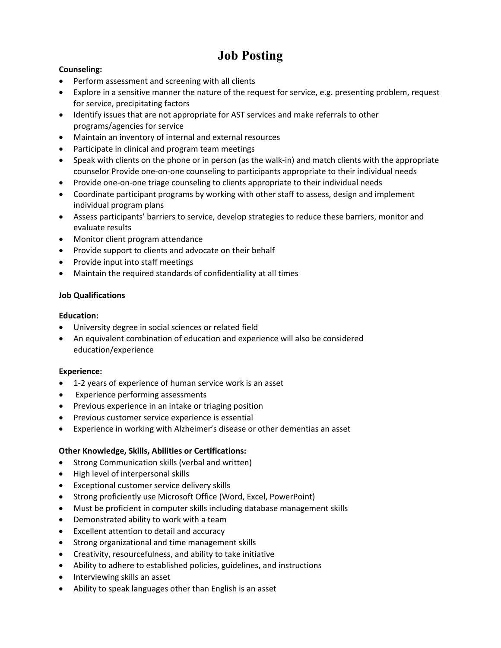# **Job Posting**

# **Counseling:**

- Perform assessment and screening with all clients
- Explore in a sensitive manner the nature of the request for service, e.g. presenting problem, request for service, precipitating factors
- Identify issues that are not appropriate for AST services and make referrals to other programs/agencies for service
- Maintain an inventory of internal and external resources
- Participate in clinical and program team meetings
- Speak with clients on the phone or in person (as the walk-in) and match clients with the appropriate counselor Provide one-on-one counseling to participants appropriate to their individual needs
- Provide one-on-one triage counseling to clients appropriate to their individual needs
- Coordinate participant programs by working with other staff to assess, design and implement individual program plans
- Assess participants' barriers to service, develop strategies to reduce these barriers, monitor and evaluate results
- Monitor client program attendance
- Provide support to clients and advocate on their behalf
- Provide input into staff meetings
- Maintain the required standards of confidentiality at all times

## **Job Qualifications**

## **Education:**

- University degree in social sciences or related field
- An equivalent combination of education and experience will also be considered education/experience

## **Experience:**

- 1-2 years of experience of human service work is an asset
- Experience performing assessments
- Previous experience in an intake or triaging position
- Previous customer service experience is essential
- Experience in working with Alzheimer's disease or other dementias an asset

# **Other Knowledge, Skills, Abilities or Certifications:**

- Strong Communication skills (verbal and written)
- High level of interpersonal skills
- Exceptional customer service delivery skills
- Strong proficiently use Microsoft Office (Word, Excel, PowerPoint)
- Must be proficient in computer skills including database management skills
- Demonstrated ability to work with a team
- Excellent attention to detail and accuracy
- Strong organizational and time management skills
- Creativity, resourcefulness, and ability to take initiative
- Ability to adhere to established policies, guidelines, and instructions
- Interviewing skills an asset
- Ability to speak languages other than English is an asset